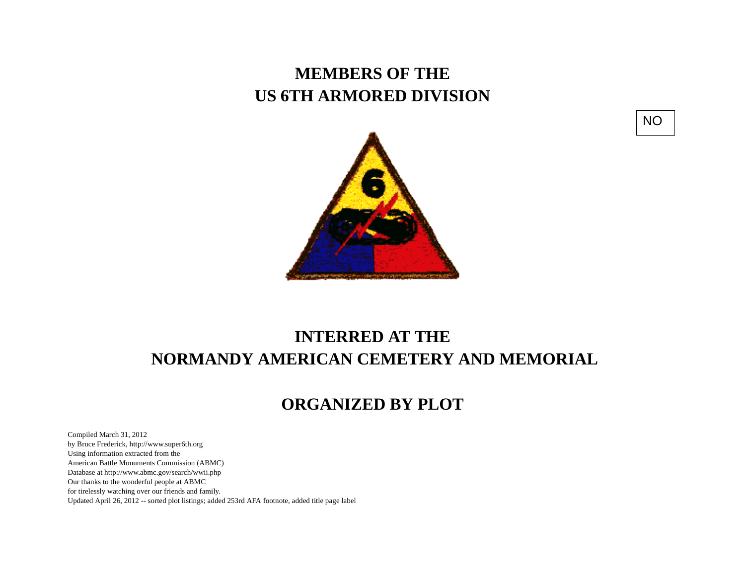## **MEMBERS OF THE US 6TH ARMORED DIVISION**





## **INTERRED AT THE NORMANDY AMERICAN CEMETERY AND MEMORIAL**

## **ORGANIZED BY PLOT**

Compiled March 31, 2012 by Bruce Frederick, http://www.super6th.orgUsing information extracted from the American Battle Monuments Commission (ABMC) Database at http://www.abmc.gov/search/wwii.phpOur thanks to the wonderful people at ABMC for tirelessly watching over our friends and family.Updated April 26, 2012 -- sorted plot listings; added 253rd AFA footnote, added title page label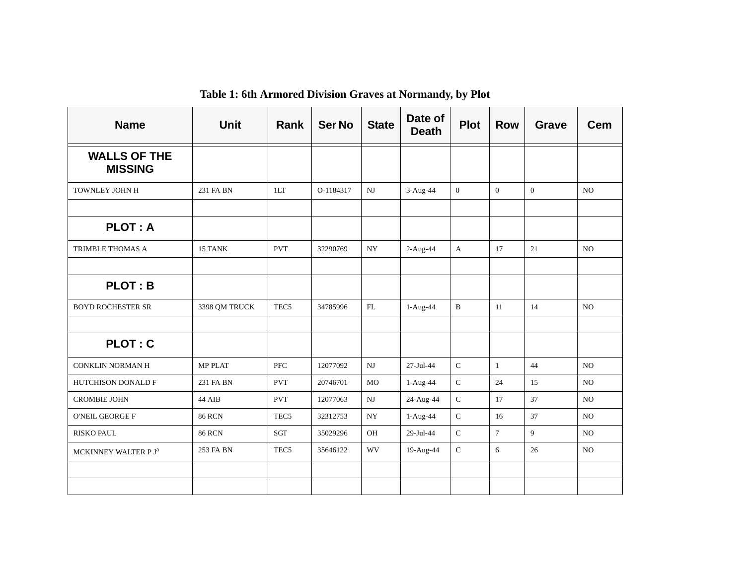| <b>Name</b>                           | <b>Unit</b>    | Rank             | <b>Ser No</b> | <b>State</b> | Date of<br><b>Death</b> | <b>Plot</b>   | <b>Row</b>     | <b>Grave</b>   | <b>Cem</b>     |
|---------------------------------------|----------------|------------------|---------------|--------------|-------------------------|---------------|----------------|----------------|----------------|
| <b>WALLS OF THE</b><br><b>MISSING</b> |                |                  |               |              |                         |               |                |                |                |
| TOWNLEY JOHN H                        | 231 FA BN      | 1LT              | O-1184317     | $_{\rm NJ}$  | 3-Aug-44                | $\mathbf{0}$  | $\overline{0}$ | $\overline{0}$ | NO             |
|                                       |                |                  |               |              |                         |               |                |                |                |
| <b>PLOT: A</b>                        |                |                  |               |              |                         |               |                |                |                |
| TRIMBLE THOMAS A                      | 15 TANK        | <b>PVT</b>       | 32290769      | <b>NY</b>    | 2-Aug-44                | $\mathbf{A}$  | 17             | 21             | NO.            |
|                                       |                |                  |               |              |                         |               |                |                |                |
| <b>PLOT: B</b>                        |                |                  |               |              |                         |               |                |                |                |
| <b>BOYD ROCHESTER SR</b>              | 3398 QM TRUCK  | TEC <sub>5</sub> | 34785996      | FL           | 1-Aug-44                | $\mathbf{B}$  | 11             | 14             | N <sub>O</sub> |
|                                       |                |                  |               |              |                         |               |                |                |                |
| <b>PLOT: C</b>                        |                |                  |               |              |                         |               |                |                |                |
| <b>CONKLIN NORMAN H</b>               | <b>MP PLAT</b> | <b>PFC</b>       | 12077092      | NJ           | 27-Jul-44               | $\mathsf C$   | $\mathbf{1}$   | 44             | NO.            |
| HUTCHISON DONALD F                    | 231 FA BN      | <b>PVT</b>       | 20746701      | <b>MO</b>    | 1-Aug-44                | $\mathsf C$   | 24             | 15             | NO.            |
| <b>CROMBIE JOHN</b>                   | 44 AIB         | <b>PVT</b>       | 12077063      | NJ           | 24-Aug-44               | $\mathsf C$   | 17             | 37             | NO.            |
| <b>O'NEIL GEORGE F</b>                | <b>86 RCN</b>  | TEC <sub>5</sub> | 32312753      | NY           | 1-Aug-44                | $\mathbf C$   | 16             | 37             | NO             |
| <b>RISKO PAUL</b>                     | <b>86 RCN</b>  | SGT              | 35029296      | OH           | 29-Jul-44               | $\mathcal{C}$ | $\overline{7}$ | 9              | NO             |
| MCKINNEY WALTER P J <sup>a</sup>      | 253 FA BN      | TEC <sub>5</sub> | 35646122      | WV           | 19-Aug-44               | $\mathbf C$   | 6              | 26             | NO             |
|                                       |                |                  |               |              |                         |               |                |                |                |
|                                       |                |                  |               |              |                         |               |                |                |                |

**Table 1: 6th Armored Division Graves at Normandy, by Plot**